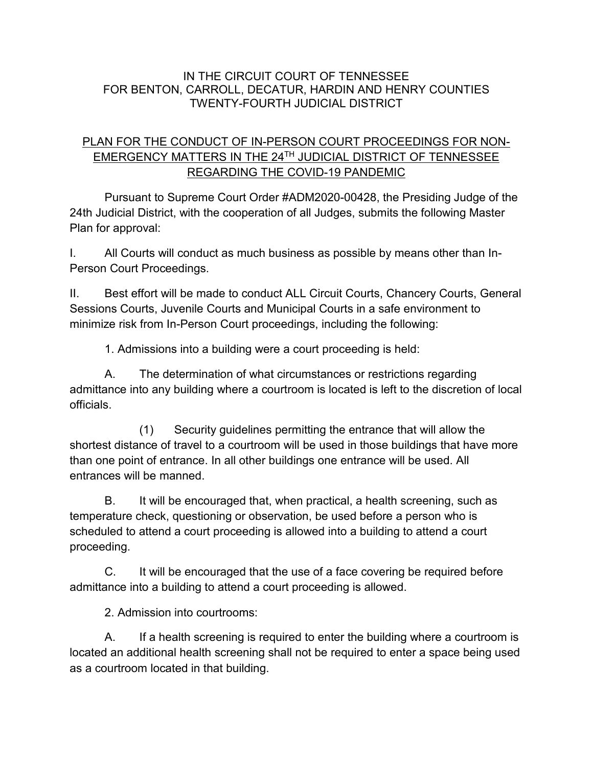## IN THE CIRCUIT COURT OF TENNESSEE FOR BENTON, CARROLL, DECATUR, HARDIN AND HENRY COUNTIES TWENTY-FOURTH JUDICIAL DISTRICT

## PLAN FOR THE CONDUCT OF IN-PERSON COURT PROCEEDINGS FOR NON-EMERGENCY MATTERS IN THE 24TH JUDICIAL DISTRICT OF TENNESSEE REGARDING THE COVID-19 PANDEMIC

Pursuant to Supreme Court Order #ADM2020-00428, the Presiding Judge of the 24th Judicial District, with the cooperation of all Judges, submits the following Master Plan for approval:

I. All Courts will conduct as much business as possible by means other than In-Person Court Proceedings.

II. Best effort will be made to conduct ALL Circuit Courts, Chancery Courts, General Sessions Courts, Juvenile Courts and Municipal Courts in a safe environment to minimize risk from In-Person Court proceedings, including the following:

1. Admissions into a building were a court proceeding is held:

A. The determination of what circumstances or restrictions regarding admittance into any building where a courtroom is located is left to the discretion of local officials.

(1) Security guidelines permitting the entrance that will allow the shortest distance of travel to a courtroom will be used in those buildings that have more than one point of entrance. In all other buildings one entrance will be used. All entrances will be manned.

B. It will be encouraged that, when practical, a health screening, such as temperature check, questioning or observation, be used before a person who is scheduled to attend a court proceeding is allowed into a building to attend a court proceeding.

C. It will be encouraged that the use of a face covering be required before admittance into a building to attend a court proceeding is allowed.

2. Admission into courtrooms:

A. If a health screening is required to enter the building where a courtroom is located an additional health screening shall not be required to enter a space being used as a courtroom located in that building.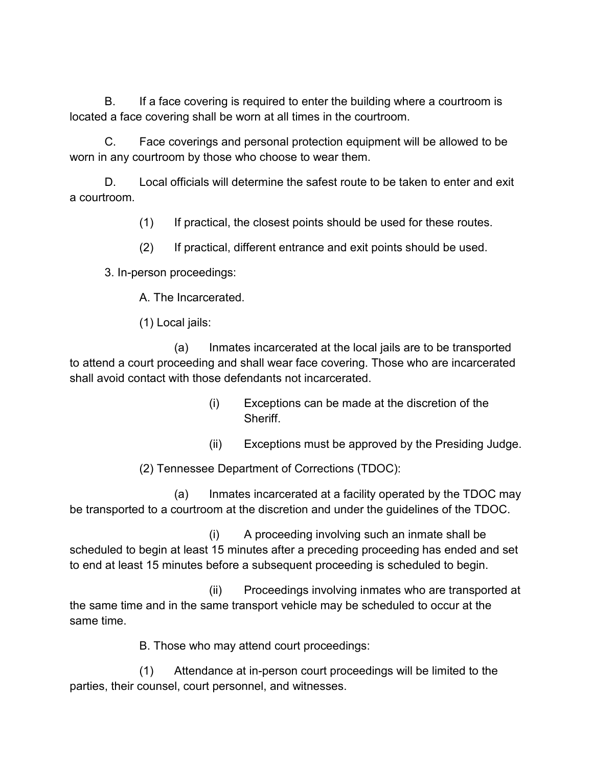B. If a face covering is required to enter the building where a courtroom is located a face covering shall be worn at all times in the courtroom.

C. Face coverings and personal protection equipment will be allowed to be worn in any courtroom by those who choose to wear them.

D. Local officials will determine the safest route to be taken to enter and exit a courtroom.

(1) If practical, the closest points should be used for these routes.

(2) If practical, different entrance and exit points should be used.

3. In-person proceedings:

A. The Incarcerated.

(1) Local jails:

(a) Inmates incarcerated at the local jails are to be transported to attend a court proceeding and shall wear face covering. Those who are incarcerated shall avoid contact with those defendants not incarcerated.

- (i) Exceptions can be made at the discretion of the Sheriff.
- (ii) Exceptions must be approved by the Presiding Judge.

(2) Tennessee Department of Corrections (TDOC):

(a) Inmates incarcerated at a facility operated by the TDOC may be transported to a courtroom at the discretion and under the guidelines of the TDOC.

(i) A proceeding involving such an inmate shall be scheduled to begin at least 15 minutes after a preceding proceeding has ended and set to end at least 15 minutes before a subsequent proceeding is scheduled to begin.

(ii) Proceedings involving inmates who are transported at the same time and in the same transport vehicle may be scheduled to occur at the same time.

B. Those who may attend court proceedings:

(1) Attendance at in-person court proceedings will be limited to the parties, their counsel, court personnel, and witnesses.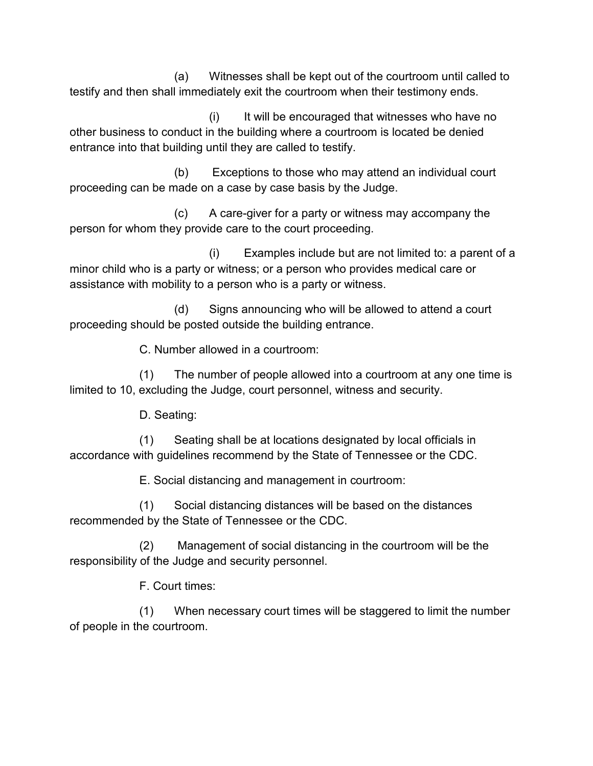(a) Witnesses shall be kept out of the courtroom until called to testify and then shall immediately exit the courtroom when their testimony ends.

(i) It will be encouraged that witnesses who have no other business to conduct in the building where a courtroom is located be denied entrance into that building until they are called to testify.

(b) Exceptions to those who may attend an individual court proceeding can be made on a case by case basis by the Judge.

(c) A care-giver for a party or witness may accompany the person for whom they provide care to the court proceeding.

(i) Examples include but are not limited to: a parent of a minor child who is a party or witness; or a person who provides medical care or assistance with mobility to a person who is a party or witness.

(d) Signs announcing who will be allowed to attend a court proceeding should be posted outside the building entrance.

C. Number allowed in a courtroom:

(1) The number of people allowed into a courtroom at any one time is limited to 10, excluding the Judge, court personnel, witness and security.

D. Seating:

(1) Seating shall be at locations designated by local officials in accordance with guidelines recommend by the State of Tennessee or the CDC.

E. Social distancing and management in courtroom:

(1) Social distancing distances will be based on the distances recommended by the State of Tennessee or the CDC.

(2) Management of social distancing in the courtroom will be the responsibility of the Judge and security personnel.

F. Court times:

(1) When necessary court times will be staggered to limit the number of people in the courtroom.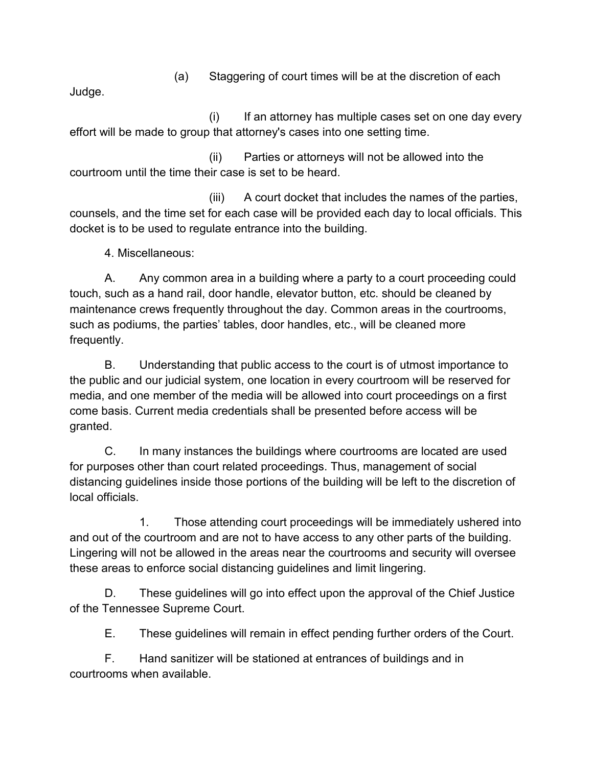(a) Staggering of court times will be at the discretion of each

Judge.

(i) If an attorney has multiple cases set on one day every effort will be made to group that attorney's cases into one setting time.

(ii) Parties or attorneys will not be allowed into the courtroom until the time their case is set to be heard.

(iii) A court docket that includes the names of the parties, counsels, and the time set for each case will be provided each day to local officials. This docket is to be used to regulate entrance into the building.

4. Miscellaneous:

A. Any common area in a building where a party to a court proceeding could touch, such as a hand rail, door handle, elevator button, etc. should be cleaned by maintenance crews frequently throughout the day. Common areas in the courtrooms, such as podiums, the parties' tables, door handles, etc., will be cleaned more frequently.

B. Understanding that public access to the court is of utmost importance to the public and our judicial system, one location in every courtroom will be reserved for media, and one member of the media will be allowed into court proceedings on a first come basis. Current media credentials shall be presented before access will be granted.

C. In many instances the buildings where courtrooms are located are used for purposes other than court related proceedings. Thus, management of social distancing guidelines inside those portions of the building will be left to the discretion of local officials.

1. Those attending court proceedings will be immediately ushered into and out of the courtroom and are not to have access to any other parts of the building. Lingering will not be allowed in the areas near the courtrooms and security will oversee these areas to enforce social distancing guidelines and limit lingering.

D. These guidelines will go into effect upon the approval of the Chief Justice of the Tennessee Supreme Court.

E. These guidelines will remain in effect pending further orders of the Court.

F. Hand sanitizer will be stationed at entrances of buildings and in courtrooms when available.